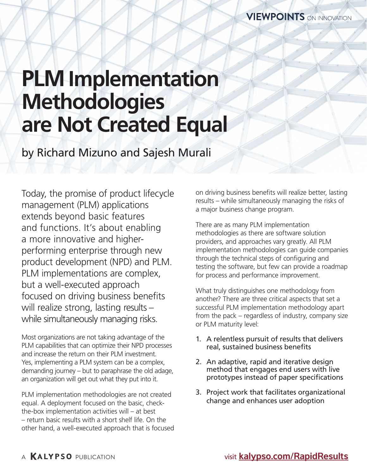# **PLM Implementation Methodologies are Not Created Equal**

by Richard Mizuno and Sajesh Murali

Today, the promise of product lifecycle management (PLM) applications extends beyond basic features and functions. It's about enabling a more innovative and higherperforming enterprise through new product development (NPD) and PLM. PLM implementations are complex, but a well-executed approach focused on driving business benefits will realize strong, lasting results while simultaneously managing risks.

Most organizations are not taking advantage of the PLM capabilities that can optimize their NPD processes and increase the return on their PLM investment. Yes, implementing a PLM system can be a complex, demanding journey – but to paraphrase the old adage, an organization will get out what they put into it.

PLM implementation methodologies are not created equal. A deployment focused on the basic, checkthe-box implementation activities will – at best – return basic results with a short shelf life. On the other hand, a well-executed approach that is focused on driving business benefits will realize better, lasting results – while simultaneously managing the risks of a major business change program.

There are as many PLM implementation methodologies as there are software solution providers, and approaches vary greatly. All PLM implementation methodologies can guide companies through the technical steps of configuring and testing the software, but few can provide a roadmap for process and performance improvement.

What truly distinguishes one methodology from another? There are three critical aspects that set a successful PLM implementation methodology apart from the pack – regardless of industry, company size or PLM maturity level:

- 1. A relentless pursuit of results that delivers real, sustained business benefits
- 2. An adaptive, rapid and iterative design method that engages end users with live prototypes instead of paper specifications
- 3. Project work that facilitates organizational change and enhances user adoption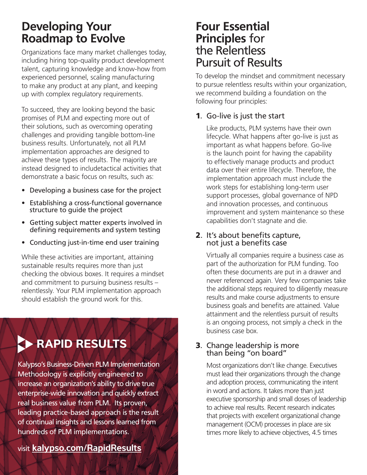## **Developing Your Roadmap to Evolve**

Organizations face many market challenges today, including hiring top-quality product development talent, capturing knowledge and know-how from experienced personnel, scaling manufacturing to make any product at any plant, and keeping up with complex regulatory requirements.

To succeed, they are looking beyond the basic promises of PLM and expecting more out of their solutions, such as overcoming operating challenges and providing tangible bottom-line business results. Unfortunately, not all PLM implementation approaches are designed to achieve these types of results. The majority are instead designed to includetactical activities that demonstrate a basic focus on results, such as:

- Developing a business case for the project
- Establishing a cross-functional governance structure to guide the project
- Getting subject matter experts involved in defining requirements and system testing
- Conducting just-in-time end user training

While these activities are important, attaining sustainable results requires more than just checking the obvious boxes. It requires a mindset and commitment to pursuing business results – relentlessly. Your PLM implementation approach should establish the ground work for this.



### **Four Essential Principles** for the Relentless Pursuit of Results

To develop the mindset and commitment necessary to pursue relentless results within your organization, we recommend building a foundation on the following four principles:

#### 1. Go-live is just the start

Like products, PLM systems have their own lifecycle. What happens after go-live is just as important as what happens before. Go-live is the launch point for having the capability to effectively manage products and product data over their entire lifecycle. Therefore, the implementation approach must include the work steps for establishing long-term user support processes, global governance of NPD and innovation processes, and continuous improvement and system maintenance so these capabilities don't stagnate and die.

#### 2. It's about benefits capture, not just a benefits case

Virtually all companies require a business case as part of the authorization for PLM funding. Too often these documents are put in a drawer and never referenced again. Very few companies take the additional steps required to diligently measure results and make course adjustments to ensure business goals and benefits are attained. Value attainment and the relentless pursuit of results is an ongoing process, not simply a check in the business case box.

#### 3. Change leadership is more than being "on board"

Most organizations don't like change. Executives must lead their organizations through the change and adoption process, communicating the intent in word and actions. It takes more than just executive sponsorship and small doses of leadership to achieve real results. Recent research indicates that projects with excellent organizational change management (OCM) processes in place are six times more likely to achieve objectives, 4.5 times